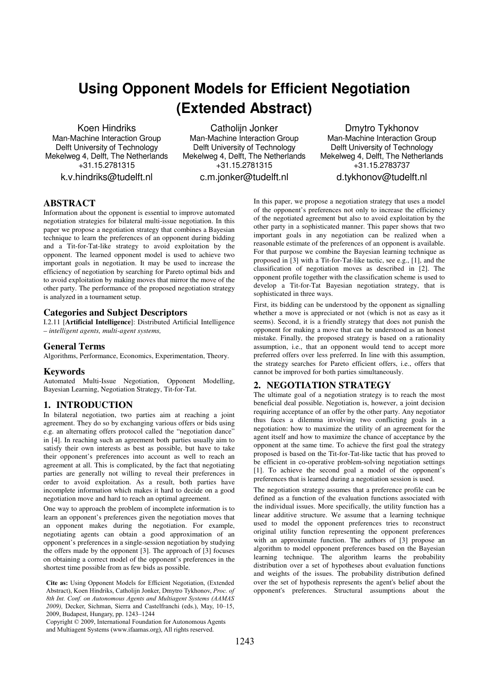# **Using Opponent Models for Efficient Negotiation (Extended Abstract)**

Koen Hindriks Man-Machine Interaction Group Delft University of Technology Mekelweg 4, Delft, The Netherlands +31.15.2781315 k.v.hindriks@tudelft.nl

Catholiin Jonker Man-Machine Interaction Group Delft University of Technology Mekelweg 4, Delft, The Netherlands +31.15.2781315

c.m.jonker@tudelft.nl

Dmytro Tykhonov Man-Machine Interaction Group Delft University of Technology Mekelweg 4, Delft, The Netherlands +31.15.2783737 d.tykhonov@tudelft.nl

## **ABSTRACT**

Information about the opponent is essential to improve automated negotiation strategies for bilateral multi-issue negotiation. In this paper we propose a negotiation strategy that combines a Bayesian technique to learn the preferences of an opponent during bidding and a Tit-for-Tat-like strategy to avoid exploitation by the opponent. The learned opponent model is used to achieve two important goals in negotiation. It may be used to increase the efficiency of negotiation by searching for Pareto optimal bids and to avoid exploitation by making moves that mirror the move of the other party. The performance of the proposed negotiation strategy is analyzed in a tournament setup.

### **Categories and Subject Descriptors**

I.2.11 [**Artificial Intelligence**]: Distributed Artificial Intelligence – *intelligent agents, multi-agent systems,*

## **General Terms**

Algorithms, Performance, Economics, Experimentation, Theory.

#### **Keywords**

Automated Multi-Issue Negotiation, Opponent Modelling, Bayesian Learning, Negotiation Strategy, Tit-for-Tat.

# **1. INTRODUCTION**

In bilateral negotiation, two parties aim at reaching a joint agreement. They do so by exchanging various offers or bids using e.g. an alternating offers protocol called the "negotiation dance" in [4]. In reaching such an agreement both parties usually aim to satisfy their own interests as best as possible, but have to take their opponent's preferences into account as well to reach an agreement at all. This is complicated, by the fact that negotiating parties are generally not willing to reveal their preferences in order to avoid exploitation. As a result, both parties have incomplete information which makes it hard to decide on a good negotiation move and hard to reach an optimal agreement.

One way to approach the problem of incomplete information is to learn an opponent's preferences given the negotiation moves that an opponent makes during the negotiation. For example, negotiating agents can obtain a good approximation of an opponent's preferences in a single-session negotiation by studying the offers made by the opponent [3]. The approach of [3] focuses on obtaining a correct model of the opponent's preferences in the shortest time possible from as few bids as possible.

 $200$ , Budapest, Frangary, pp. 1243–1244<br>Copyright © 2009, International Foundation for Autonomous Agents Multiagent Systems (www.ifaamas.org). All rights reserved. and Multiagent Systems (www.ifaamas.org), All rights reserved.

In this paper, we propose a negotiation strategy that uses a model of the opponent's preferences not only to increase the efficiency of the negotiated agreement but also to avoid exploitation by the other party in a sophisticated manner. This paper shows that two important goals in any negotiation can be realized when a reasonable estimate of the preferences of an opponent is available. For that purpose we combine the Bayesian learning technique as proposed in [3] with a Tit-for-Tat-like tactic, see e.g., [1], and the classification of negotiation moves as described in [2]. The opponent profile together with the classification scheme is used to develop a Tit-for-Tat Bayesian negotiation strategy, that is sophisticated in three ways.

First, its bidding can be understood by the opponent as signalling whether a move is appreciated or not (which is not as easy as it seems). Second, it is a friendly strategy that does not punish the opponent for making a move that can be understood as an honest mistake. Finally, the proposed strategy is based on a rationality assumption, i.e., that an opponent would tend to accept more preferred offers over less preferred. In line with this assumption, the strategy searches for Pareto efficient offers, i.e., offers that cannot be improved for both parties simultaneously.

# **2. NEGOTIATION STRATEGY**

The ultimate goal of a negotiation strategy is to reach the most beneficial deal possible. Negotiation is, however, a joint decision requiring acceptance of an offer by the other party. Any negotiator thus faces a dilemma involving two conflicting goals in a negotiation: how to maximize the utility of an agreement for the agent itself and how to maximize the chance of acceptance by the opponent at the same time. To achieve the first goal the strategy proposed is based on the Tit-for-Tat-like tactic that has proved to be efficient in co-operative problem-solving negotiation settings [1]. To achieve the second goal a model of the opponent's preferences that is learned during a negotiation session is used.

The negotiation strategy assumes that a preference profile can be defined as a function of the evaluation functions associated with the individual issues. More specifically, the utility function has a linear additive structure. We assume that a learning technique used to model the opponent preferences tries to reconstruct original utility function representing the opponent preferences with an approximate function. The authors of [3] propose an algorithm to model opponent preferences based on the Bayesian learning technique. The algorithm learns the probability distribution over a set of hypotheses about evaluation functions and weights of the issues. The probability distribution defined over the set of hypothesis represents the agent's belief about the opponent's preferences. Structural assumptions about the

**Cite as:** Using Opponent Models for Efficient Negotiation, (Extended Abstract), Koen Hindriks, Catholijn Jonker, Dmytro Tykhonov, *Proc. of*  Abstract), Koen Hindriks, Catholijn Jonker, Dmytro Tykhonov, *Proc. of 8th Int. Conf. on Autonomous Agents and Multiagent Systems (AAMAS 8th Int. Conf. on Autonomous Agents and Multiagent Systems (AAMAS 2009)*, Decker, Sichman, Sierra, and Castelfranchi (eds.), May, 10–15., *2009),* Decker, Sichman, Sierra and Castelfranchi (eds.), May, 10–15, 2009, Becker, Bielman, Bierra and Cas